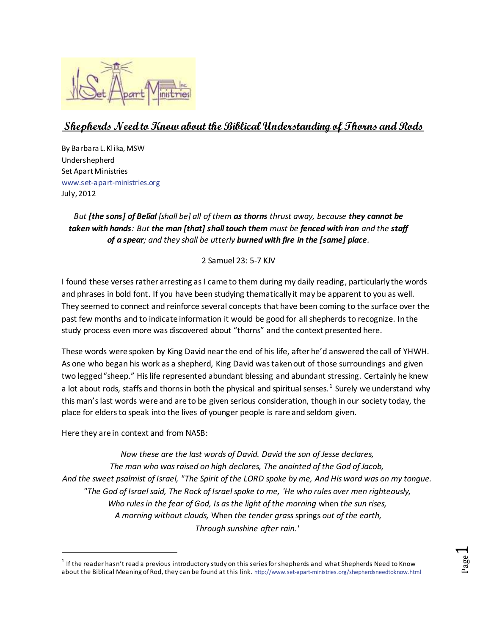

## **Shepherds Need to Know about the Biblical Understanding of Thorns and Rods**

By Barbara L. Klika, MSW Undershepherd Set Apart Ministries [www.set-apart-ministries.org](http://www.set-apart-ministries.org/) July, 2012

## *But [the sons] of Belial [shall be] all of them as thorns thrust away, because they cannot be taken with hands: But the man [that] shall touch them must be fenced with iron and the staff of a spear; and they shall be utterly burned with fire in the [same] place.*

2 Samuel 23: 5-7 KJV

I found these verses rather arresting as I came to them during my daily reading, particularly the words and phrases in bold font. If you have been studying thematically it may be apparent to you as well. They seemed to connect and reinforce several concepts that have been coming to the surface over the past few months and to indicate information it would be good for all shepherds to recognize. In the study process even more was discovered about "thorns" and the context presented here.

These words were spoken by King David near the end of his life, after he'd answered the call of YHWH. As one who began his work as a shepherd, King David was taken out of those surroundings and given two legged "sheep." His life represented abundant blessing and abundant stressing. Certainly he knew a lot about rods, staffs and thorns in both the physical and spiritual senses.<sup>1</sup> Surely we understand why this man's last words were and are to be given serious consideration, though in our society today, the place for elders to speak into the lives of younger people is rare and seldom given.

Here they are in context and from NASB:

 $\overline{a}$ 

*Now these are the last words of David. David the son of Jesse declares, The man who was raised on high declares, The anointed of the God of Jacob, And the sweet psalmist of Israel, "The Spirit of the LORD spoke by me, And His word was on my tongue. "The God of Israel said, The Rock of Israel spoke to me, 'He who rules over men righteously, Who rules in the fear of God, Is as the light of the morning* when *the sun rises, A morning without clouds,* When *the tender grass* springs *out of the earth, Through sunshine after rain.'*

Page  $\overline{\phantom{0}}$ 

 $^{\rm 1}$  If the reader hasn't read a previous introductory study on this series for shepherds and what Shepherds Need to Know about the Biblical Meaning of Rod, they can be found at this link. <http://www.set-apart-ministries.org/shepherdsneedtoknow.html>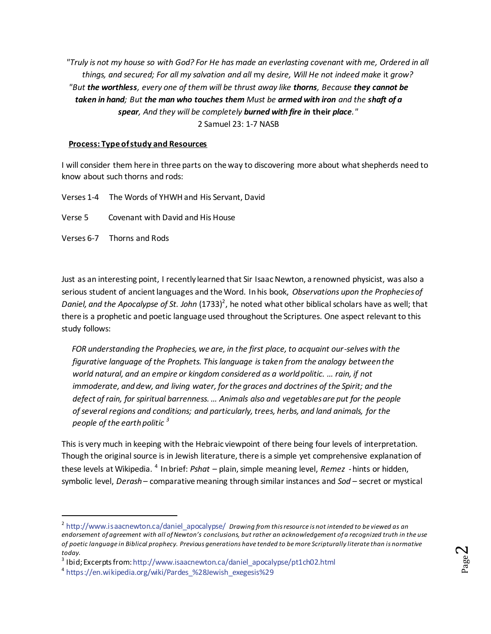*"Truly is not my house so with God? For He has made an everlasting covenant with me, Ordered in all things, and secured; For all my salvation and all* my *desire, Will He not indeed make* it *grow? "But the worthless, every one of them will be thrust away like thorns, Because they cannot be taken in hand; But the man who touches them Must be armed with iron and the shaft of a spear, And they will be completely burned with fire in* **their** *place."* 2 Samuel 23: 1-7 NASB

### **Process: Type of study and Resources**

I will consider them here in three parts on the way to discovering more about what shepherds need to know about such thorns and rods:

Verses 1-4 The Words of YHWH and His Servant, David Verse 5 Covenant with David and His House Verses 6-7 Thorns and Rods

Just as an interesting point, I recently learned that Sir Isaac Newton, a renowned physicist, was also a serious student of ancient languages and the Word. In his book, *Observations upon the Prophecies of*  Daniel, and the Apocalypse of St. John (1733)<sup>2</sup>, he noted what other biblical scholars have as well; that there is a prophetic and poetic language used throughout the Scriptures. One aspect relevant to this study follows:

 *FOR understanding the Prophecies, we are, in the first place, to acquaint our-selves with the figurative language of the Prophets. This language is taken from the analogy between the world natural, and an empire or kingdom considered as a world politic. … rain, if not immoderate, and dew, and living water, for the graces and doctrines of the Spirit; and the defect of rain, for spiritual barrenness. … Animals also and vegetables are put for the people of several regions and conditions; and particularly, trees, herbs, and land animals, for the people of the earth politic <sup>3</sup>*

This is very much in keeping with the Hebraic viewpoint of there being four levels of interpretation. Though the original source is in Jewish literature, there is a simple yet comprehensive explanation of these levels at Wikipedia. <sup>4</sup> In brief: *Pshat* – plain, simple meaning level, *Remez* - hints or hidden, symbolic level, *Derash* – comparative meaning through similar instances and *Sod* – secret or mystical

1

Page  $\boldsymbol{\sim}$ 

<sup>2</sup> [http://www.isaacnewton.ca/daniel\\_apocalypse/](http://www.isaacnewton.ca/daniel_apocalypse/) *Drawing from this resource is not intended to be viewed as an endorsement of agreement with all of Newton's conclusions, but rather an acknowledgement of a recognized truth in the use of poetic language in Biblical prophecy. Previous generations have tended to be more Scripturally literate than is normative today.*

<sup>3</sup> Ibid; Excerpts fro[m: http://www.isaacnewton.ca/daniel\\_apocalypse/pt1ch02.html](http://www.isaacnewton.ca/daniel_apocalypse/pt1ch02.html)

<sup>4</sup> [https://en.wikipedia.org/wiki/Pardes\\_%28Jewish\\_exegesis%29](https://en.wikipedia.org/wiki/Pardes_%28Jewish_exegesis%29)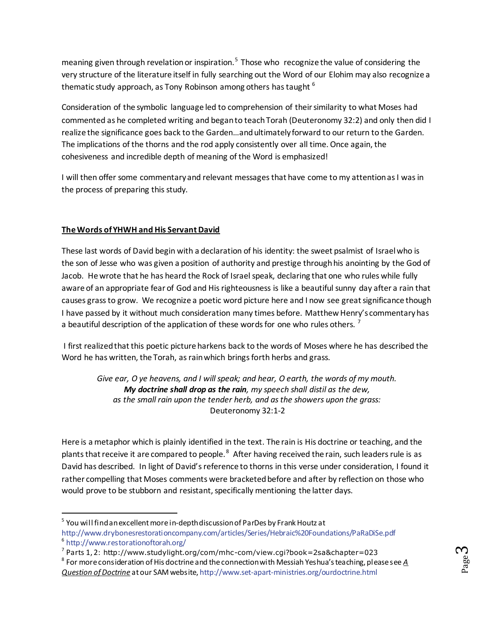meaning given through revelation or inspiration.<sup>5</sup> Those who recognize the value of considering the very structure of the literature itself in fully searching out the Word of our Elohim may also recognize a thematic study approach, as Tony Robinson among others has taught  $<sup>6</sup>$ </sup>

Consideration of the symbolic language led to comprehension of their similarity to what Moses had commented as he completed writing and began to teach Torah (Deuteronomy 32:2) and only then did I realize the significance goes back to the Garden…and ultimately forward to our return to the Garden. The implications of the thorns and the rod apply consistently over all time. Once again, the cohesiveness and incredible depth of meaning of the Word is emphasized!

I will then offer some commentary and relevant messages that have come to my attention as I was in the process of preparing this study.

### **The Words of YHWH and His Servant David**

 $\overline{a}$ 

These last words of David begin with a declaration of his identity: the sweet psalmist of Israel who is the son of Jesse who was given a position of authority and prestige through his anointing by the God of Jacob. He wrote that he has heard the Rock of Israel speak, declaring that one who rules while fully aware of an appropriate fear of God and His righteousness is like a beautiful sunny day after a rain that causes grass to grow. We recognize a poetic word picture here and I now see great significance though I have passed by it without much consideration many times before. Matthew Henry's commentary has a beautiful description of the application of these words for one who rules others.<sup>7</sup>

I first realized that this poetic picture harkens back to the words of Moses where he has described the Word he has written, the Torah, as rain which brings forth herbs and grass.

*Give ear, O ye heavens, and I will speak; and hear, O earth, the words of my mouth. My doctrine shall drop as the rain, my speech shall distil as the dew, as the small rain upon the tender herb, and as the showers upon the grass:* Deuteronomy 32:1-2

Here is a metaphor which is plainly identified in the text. The rain is His doctrine or teaching, and the plants that receive it are compared to people.<sup>8</sup> After having received the rain, such leaders rule is as David has described. In light of David's reference to thorns in this verse under consideration, I found it rather compelling that Moses comments were bracketed before and after by reflection on those who would prove to be stubborn and resistant, specifically mentioning the latter days.

 $^5$  You will find an excellent more in-depth discussion of ParDes by Frank Houtz at <http://www.drybonesrestorationcompany.com/articles/Series/Hebraic%20Foundations/PaRaDiSe.pdf> 6 <http://www.restorationoftorah.org/>

<sup>7</sup> Parts 1, 2: <http://www.studylight.org/com/mhc-com/view.cgi?book=2sa&chapter=023>

<sup>8</sup> For more consideration of His doctrine and the connection with Messiah Yeshua's teaching, please see *A Question of Doctrine* at our SAM websit[e, http://www.set-apart-ministries.org/ourdoctrine.html](http://www.set-apart-ministries.org/ourdoctrine.html)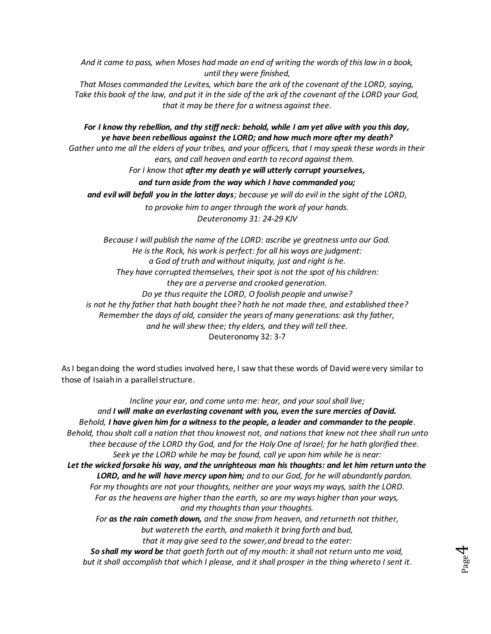*And it came to pass, when Moses had made an end of writing the words of this law in a book, until they were finished,*

*That Moses commanded the Levites, which bare the ark of the covenant of the LORD, saying, Take this book of the law, and put it in the side of the ark of the covenant of the LORD your God, that it may be there for a witness against thee.*

*For I know thy rebellion, and thy stiff neck: behold, while I am yet alive with you this day, ye have been rebellious against the LORD; and how much more after my death?*

*Gather unto me all the elders of your tribes, and your officers, that I may speak these words in their ears, and call heaven and earth to record against them.*

*For I know that after my death ye will utterly corrupt yourselves,* 

*and turn aside from the way which I have commanded you;* 

*and evil will befall you in the latter days; because ye will do evil in the sight of the LORD,* 

*to provoke him to anger through the work of your hands.*

*Deuteronomy 31: 24-29 KJV*

*Because I will publish the name of the LORD: ascribe ye greatness unto our God. He isthe Rock, his work is perfect: for all his ways are judgment: a God of truth and without iniquity, just and right is he. They have corrupted themselves, their spot is not the spot of his children: they are a perverse and crooked generation. Do ye thus requite the LORD, O foolish people and unwise? is not he thy father that hath bought thee? hath he not made thee, and established thee? Remember the days of old, consider the years of many generations: ask thy father, and he will shew thee; thy elders, and they will tell thee.* Deuteronomy 32: 3-7

As I began doing the word studies involved here, I saw that these words of David were very similar to those of Isaiahin a parallel structure.

*Incline your ear, and come unto me: hear, and your soul shall live; and I will make an everlasting covenant with you, even the sure mercies of David. Behold, I have given him for a witness to the people, a leader and commander to the people. Behold, thou shalt call a nation that thou knowest not, and nations that knew not thee shall run unto thee because of the LORD thy God, and for the Holy One of Israel; for he hath glorified thee. Seek ye the LORD while he may be found, call ye upon him while he is near: Let the wicked forsake his way, and the unrighteous man his thoughts: and let him return unto the LORD, and he will have mercy upon him; and to our God, for he will abundantly pardon. For my thoughts are not your thoughts, neither are your ways my ways, saith the LORD. For as the heavens are higher than the earth, so are my ways higher than your ways, and my thoughts than your thoughts. For as the rain cometh down, and the snow from heaven, and returneth not thither, but watereth the earth, and maketh it bring forth and bud, that it may give seed to the sower,and bread to the eater: So shall my word be that goeth forth out of my mouth: it shall not return unto me void, but it shall accomplish that which I please, and it shall prosper in the thing whereto I sent it.*

Page 4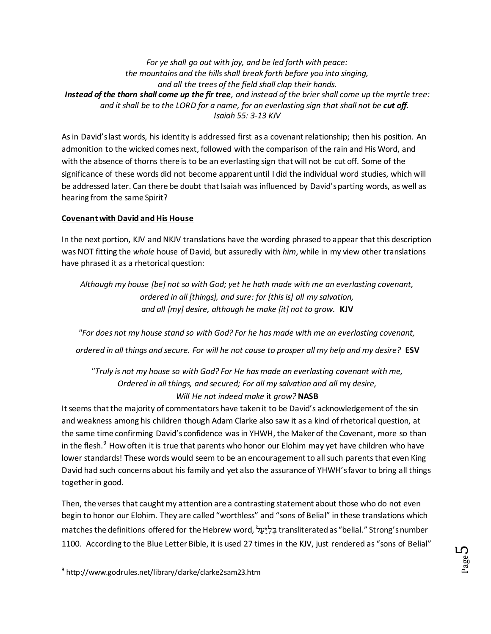*For ye shall go out with joy, and be led forth with peace: the mountains and the hills shall break forth before you into singing, and all the trees of the field shall clap their hands. Instead of the thorn shall come up the fir tree, and instead of the brier shall come up the myrtle tree: and it shall be to the LORD for a name, for an everlasting sign that shall not be cut off. Isaiah 55: 3-13 KJV*

As in David's last words, his identity is addressed first as a covenant relationship; then his position. An admonition to the wicked comes next, followed with the comparison of the rain and His Word, and with the absence of thorns there is to be an everlasting sign that will not be cut off. Some of the significance of these words did not become apparent until I did the individual word studies, which will be addressed later. Can there be doubt that Isaiah wasinfluenced by David's parting words, as well as hearing from the same Spirit?

### **Covenant with David and His House**

In the next portion, KJV and NKJV translations have the wording phrased to appear that this description was NOT fitting the *whole* house of David, but assuredly with *him*, while in my view other translations have phrased it as a rhetorical question:

*Although my house [be] not so with God; yet he hath made with me an everlasting covenant, ordered in all [things], and sure: for [this is] all my salvation, and all [my] desire, although he make [it] not to grow.* **KJV**

*"For does not my house stand so with God? For he has made with me an everlasting covenant, ordered in all things and secure. For will he not cause to prosper all my help and my desire?* **ESV**

*"Truly is not my house so with God? For He has made an everlasting covenant with me, Ordered in all things, and secured; For all my salvation and all* my *desire, Will He not indeed make* it *grow?* **NASB**

It seems that the majority of commentators have taken it to be David's acknowledgement of the sin and weakness among his children though Adam Clarke also saw it as a kind of rhetorical question, at the same time confirming David's confidence was in YHWH, the Maker of the Covenant, more so than in the flesh.<sup>9</sup> How often it is true that parents who honor our Elohim may yet have children who have lower standards! These words would seem to be an encouragement to all such parents that even King David had such concerns about his family and yet also the assurance of YHWH's favor to bring all things together in good.

Then, the verses that caught my attention are a contrasting statement about those who do not even begin to honor our Elohim. They are called "worthless" and "sons of Belial" in these translations which matches the definitions offered for the Hebrew word, transliterated as "belial." Strong's number 1100. According to the Blue Letter Bible, it is used 27 times in the KJV, just rendered as "sons of Belial"

 $\overline{a}$ 

<sup>&</sup>lt;sup>9</sup> <http://www.godrules.net/library/clarke/clarke2sam23.htm>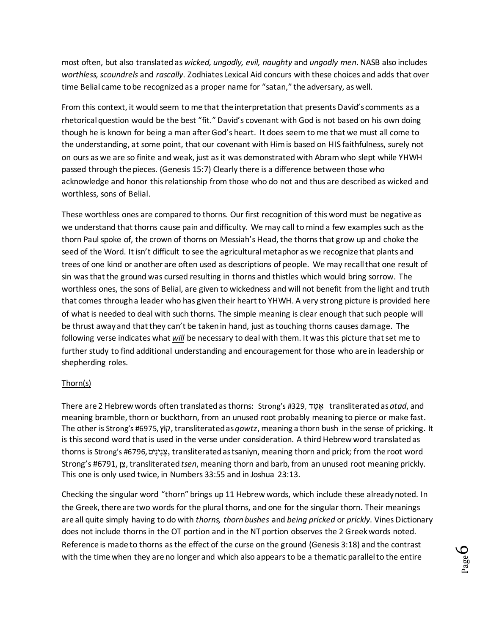most often, but also translated as *wicked, ungodly, evil, naughty* and *ungodly men*. NASB also includes *worthless, scoundrels* and *rascally*. Zodhiates Lexical Aid concurs with these choices and adds that over time Belial came to be recognized as a proper name for "satan," the adversary, as well.

From this context, it would seem to me that the interpretation that presents David's comments as a rhetorical question would be the best "fit." David's covenant with God is not based on his own doing though he is known for being a man after God's heart. It does seem to me that we must all come to the understanding, at some point, that our covenant with Him is based on HIS faithfulness, surely not on ours as we are so finite and weak, just as it was demonstrated with Abram who slept while YHWH passed through the pieces. (Genesis 15:7) Clearly there is a difference between those who acknowledge and honor this relationship from those who do not and thus are described as wicked and worthless, sons of Belial.

These worthless ones are compared to thorns. Our first recognition of this word must be negative as we understand that thorns cause pain and difficulty. We may call to mind a few examples such as the thorn Paul spoke of, the crown of thorns on Messiah's Head, the thorns that grow up and choke the seed of the Word. It isn't difficult to see the agricultural metaphor as we recognize that plants and trees of one kind or another are often used as descriptions of people. We may recall that one result of sin was that the ground was cursed resulting in thorns and thistles which would bring sorrow. The worthless ones, the sons of Belial, are given to wickedness and will not benefit from the light and truth that comes through a leader who has given their heart to YHWH. A very strong picture is provided here of what is needed to deal with such thorns. The simple meaning is clear enough that such people will be thrust away and that they can't be taken in hand, just as touching thorns causes damage. The following verse indicates what *will* be necessary to deal with them. It was this picture that set me to further study to find additional understanding and encouragement for those who are in leadership or shepherding roles.

### Thorn(s)

There are 2 Hebrew words often translated as thorns: Strong's #329, transliterated as *atad*, and meaning bramble, thorn or buckthorn, from an unused root probably meaning to pierce or make fast. The other is Strong's #6975, , transliterated as *qowtz*, meaning a thorn bush in the sense of pricking. It is this second word that is used in the verse under consideration. A third Hebrew word translated as thorns is Strong's #6796, צנינים, transliterated as tsaniyn, meaning thorn and prick; from the root word Strong's #6791, , transliterated *tsen*, meaning thorn and barb, from an unused root meaning prickly. This one is only used twice, in Numbers 33:55 and in Joshua 23:13.

Checking the singular word "thorn" brings up 11 Hebrew words, which include these already noted. In the Greek, there are two words for the plural thorns, and one for the singular thorn. Their meanings are all quite simply having to do with *thorns, thorn bushes* and *being pricked* or *prickly*. Vines Dictionary does not include thorns in the OT portion and in the NT portion observes the 2 Greek words noted. Reference is made to thorns as the effect of the curse on the ground (Genesis 3:18) and the contrast with the time when they are no longer and which also appears to be a thematic parallel to the entire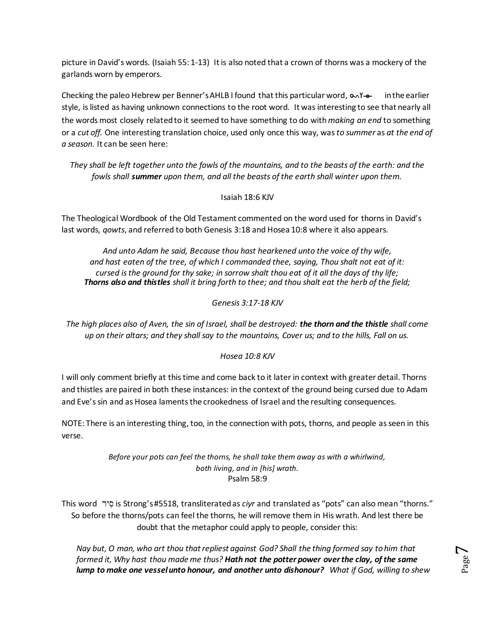picture in David's words. (Isaiah 55: 1-13) It is also noted that a crown of thorns was a mockery of the garlands worn by emperors.

Checking the paleo Hebrew per Benner's AHLB I found that this particular word,  $\infty$ Y- $\bullet$  in the earlier style, is listed as having unknown connections to the root word. It was interesting to see that nearly all the words most closely related to it seemed to have something to do with *making an end* to something or a *cut off.* One interesting translation choice, used only once this way, was*to summer* as *at the end of a season.* It can be seen here:

*They shall be left together unto the fowls of the mountains, and to the beasts of the earth: and the fowls shall summer upon them, and all the beasts of the earth shall winter upon them.*

Isaiah 18:6 KJV

The Theological Wordbook of the Old Testament commented on the word used for thorns in David's last words, *qowts*, and referred to both Genesis 3:18 and Hosea 10:8 where it also appears.

*And unto Adam he said, Because thou hast hearkened unto the voice of thy wife, and hast eaten of the tree, of which I commanded thee, saying, Thou shalt not eat of it: cursed isthe ground for thy sake; in sorrow shalt thou eat of it all the days of thy life; Thorns also and thistles shall it bring forth to thee; and thou shalt eat the herb of the field;*

*Genesis 3:17-18 KJV*

*The high places also of Aven, the sin of Israel, shall be destroyed: the thorn and the thistle shall come up on their altars; and they shall say to the mountains, Cover us; and to the hills, Fall on us.*

*Hosea 10:8 KJV*

I will only comment briefly at this time and come back to it later in context with greater detail. Thorns and thistles are paired in both these instances: in the context of the ground being cursed due to Adam and Eve's sin and as Hosea laments the crookedness of Israel and the resulting consequences.

NOTE: There is an interesting thing, too, in the connection with pots, thorns, and people as seen in this verse.

> *Before your pots can feel the thorns, he shall take them away as with a whirlwind, both living, and in [his] wrath.* Psalm 58:9

This word is Strong's #5518, transliterated as *ciyr* and translated as "pots" can also mean "thorns." So before the thorns/pots can feel the thorns, he will remove them in His wrath. And lest there be doubt that the metaphor could apply to people, consider this:

*Nay but, O man, who art thou that repliest against God? Shall the thing formed say to him that formed it, Why hast thou made me thus? Hath not the potter power over the clay, of the same lump to make one vessel unto honour, and another unto dishonour? What if God, willing to shew*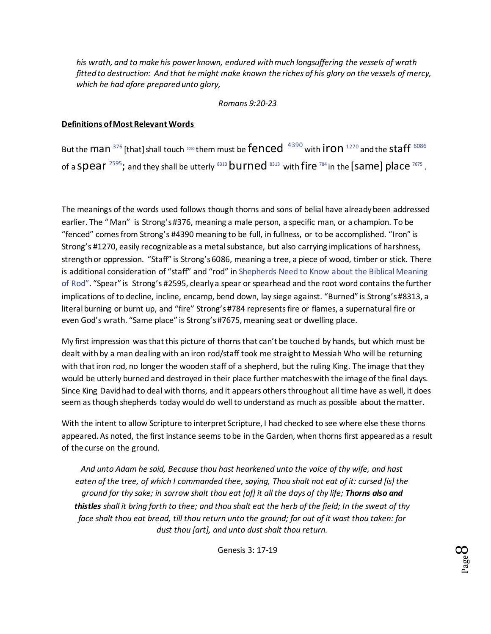*his wrath, and to make his power known, endured with much longsuffering the vessels of wrath fitted to destruction: And that he might make known the riches of his glory on the vessels of mercy, which he had afore prepared unto glory,*

*Romans 9:20-23*

### **Definitions of Most Relevant Words**

But the man  $376$  [that] shall touch  $5060$  them must be fenced  $4390$  with iron  $1270$  and the Staff  $6086$ of a <code>Spear</code>  $^{2595}$  $^{2595}$  $^{2595}$ ; and they shall be utterly  $^{8313}\,$  $^{8313}\,$  $^{8313}\,$  <code>burned</code>  $^{8313}\,$  with fire  $^{784}$  $^{784}$  $^{784}$  in the [S<code>ame]</code> place  $^{7675}$  $^{7675}$  $^{7675}$  .

The meanings of the words used follows though thorns and sons of belial have already been addressed earlier. The " Man" is Strong's #376, meaning a male person, a specific man, or a champion. To be "fenced" comes from Strong's #4390 meaning to be full, in fullness, or to be accomplished. "Iron" is Strong's #1270, easily recognizable as a metal substance, but also carrying implications of harshness, strength or oppression. "Staff" is Strong's 6086, meaning a tree, a piece of wood, timber or stick. There is additional consideration of "staff" and "rod" i[n Shepherds Need to Know about the Biblical Meaning](http://www.set-apart-ministries.org/files/Articles/WhatShepherdsNeedtoKnowBiblicalMeaningofRod.November112009.pdf)  [of Rod](http://www.set-apart-ministries.org/files/Articles/WhatShepherdsNeedtoKnowBiblicalMeaningofRod.November112009.pdf)". "Spear" is Strong's #2595, clearly a spear or spearhead and the root word contains the further implications of to decline, incline, encamp, bend down, lay siege against. "Burned" is Strong's #8313, a literal burning or burnt up, and "fire" Strong's #784 represents fire or flames, a supernatural fire or even God's wrath. "Same place" is Strong's #7675, meaning seat or dwelling place.

My first impression was that this picture of thorns that can't be touched by hands, but which must be dealt with by a man dealing with an iron rod/staff took me straight to Messiah Who will be returning with that iron rod, no longer the wooden staff of a shepherd, but the ruling King. The image that they would be utterly burned and destroyed in their place further matches with the image of the final days. Since King David had to deal with thorns, and it appears others throughout all time have as well, it does seem as though shepherds today would do well to understand as much as possible about the matter.

With the intent to allow Scripture to interpret Scripture, I had checked to see where else these thorns appeared. As noted, the first instance seems to be in the Garden, when thorns first appeared as a result of the curse on the ground.

*And unto Adam he said, Because thou hast hearkened unto the voice of thy wife, and hast eaten of the tree, of which I commanded thee, saying, Thou shalt not eat of it: cursed [is] the ground for thy sake; in sorrow shalt thou eat [of] it all the days of thy life; Thorns also and thistles shall it bring forth to thee; and thou shalt eat the herb of the field; In the sweat of thy face shalt thou eat bread, till thou return unto the ground; for out of it wast thou taken: for dust thou [art], and unto dust shalt thou return.*

Genesis 3: 17-19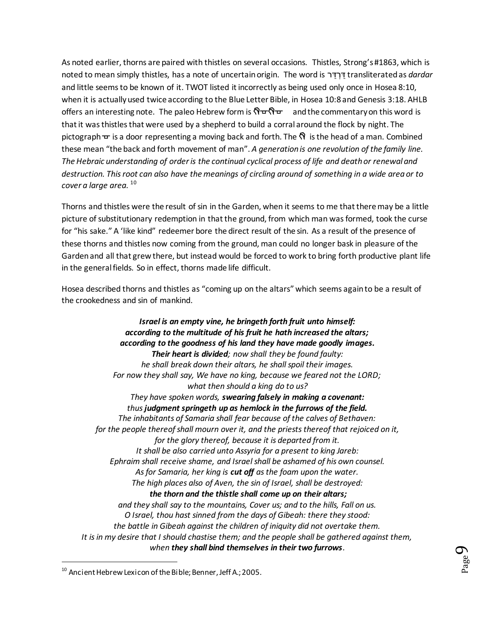As noted earlier, thorns are paired with thistles on several occasions. Thistles, Strong's #1863, which is noted to mean simply thistles, has a note of uncertain origin. The word is transliterated as *dardar* and little seems to be known of it. TWOT listed it incorrectly as being used only once in Hosea 8:10, when it is actually used twice according to the Blue Letter Bible, in Hosea 10:8 and Genesis 3:18. AHLB offers an interesting note. The paleo Hebrew form is  $\mathsf{Q} = \mathsf{Q}$  and the commentary on this word is that it was thistles that were used by a shepherd to build a corral around the flock by night. The pictograph  $\pm$  is a door representing a moving back and forth. The  $\hat{\Omega}$  is the head of a man. Combined these mean "the back and forth movement of man". *A generation is one revolution of the family line. The Hebraic understanding of order is the continual cyclical process of life and death or renewal and destruction. This root can also have the meanings of circling around of something in a wide area or to cover a large area.* <sup>10</sup>

Thorns and thistles were the result of sin in the Garden, when it seems to me that there may be a little picture of substitutionary redemption in that the ground, from which man was formed, took the curse for "his sake." A 'like kind" redeemer bore the direct result of the sin. As a result of the presence of these thorns and thistles now coming from the ground, man could no longer bask in pleasure of the Garden and all that grew there, but instead would be forced to work to bring forth productive plant life in the general fields. So in effect, thorns made life difficult.

Hosea described thorns and thistles as "coming up on the altars" which seems again to be a result of the crookedness and sin of mankind.

*Israel is an empty vine, he bringeth forth fruit unto himself: according to the multitude of his fruit he hath increased the altars; according to the goodness of his land they have made goodly images. Their heart is divided; now shall they be found faulty: he shall break down their altars, he shall spoil their images. For now they shall say, We have no king, because we feared not the LORD; what then should a king do to us? They have spoken words, swearing falsely in making a covenant: thus judgment springeth up as hemlock in the furrows of the field. The inhabitants of Samaria shall fear because of the calves of Bethaven: for the people thereof shall mourn over it, and the priests thereof that rejoiced on it, for the glory thereof, because it is departed from it. It shall be also carried unto Assyria for a present to king Jareb: Ephraim shall receive shame, and Israel shall be ashamed of his own counsel. As for Samaria, her king is cut off as the foam upon the water. The high places also of Aven, the sin of Israel, shall be destroyed: the thorn and the thistle shall come up on their altars; and they shall say to the mountains, Cover us; and to the hills, Fall on us. O Israel, thou hast sinned from the days of Gibeah: there they stood: the battle in Gibeah against the children of iniquity did not overtake them. It isin my desire that I should chastise them; and the people shall be gathered against them, when they shall bind themselves in their two furrows.*

 $\overline{a}$ 

<sup>&</sup>lt;sup>10</sup> Ancient Hebrew Lexicon of the Bible; Benner, Jeff A.; 2005.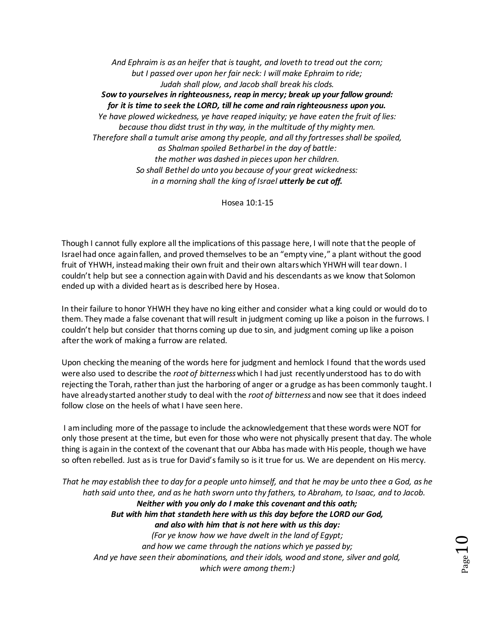*And Ephraim is as an heifer that istaught, and loveth to tread out the corn; but I passed over upon her fair neck: I will make Ephraim to ride; Judah shall plow, and Jacob shall break his clods. Sow to yourselves in righteousness, reap in mercy; break up your fallow ground: for it is time to seek the LORD, till he come and rain righteousness upon you. Ye have plowed wickedness, ye have reaped iniquity; ye have eaten the fruit of lies: because thou didst trust in thy way, in the multitude of thy mighty men. Therefore shall a tumult arise among thy people, and all thy fortresses shall be spoiled, as Shalman spoiled Betharbel in the day of battle: the mother was dashed in pieces upon her children. So shall Bethel do unto you because of your great wickedness: in a morning shall the king of Israel utterly be cut off.*

Hosea 10:1-15

Though I cannot fully explore all the implications of this passage here, I will note that the people of Israel had once again fallen, and proved themselves to be an "empty vine," a plant without the good fruit of YHWH, instead making their own fruit and their own altars which YHWH will tear down. I couldn't help but see a connection again with David and his descendants as we know that Solomon ended up with a divided heart as is described here by Hosea.

In their failure to honor YHWH they have no king either and consider what a king could or would do to them. They made a false covenant that will result in judgment coming up like a poison in the furrows. I couldn't help but consider that thorns coming up due to sin, and judgment coming up like a poison after the work of making a furrow are related.

Upon checking the meaning of the words here for judgment and hemlock I found that the words used were also used to describe the *root of bitterness*which I had just recently understood has to do with rejecting the Torah, rather than just the harboring of anger or a grudge as has been commonly taught. I have already started another study to deal with the *root of bitterness* and now see that it does indeed follow close on the heels of what I have seen here.

I am including more of the passage to include the acknowledgement that these words were NOT for only those present at the time, but even for those who were not physically present that day. The whole thing is again in the context of the covenant that our Abba has made with His people, though we have so often rebelled. Just as is true for David's family so is it true for us. We are dependent on His mercy.

*That he may establish thee to day for a people unto himself, and that he may be unto thee a God, as he hath said unto thee, and as he hath sworn unto thy fathers, to Abraham, to Isaac, and to Jacob. Neither with you only do I make this covenant and this oath; But with him that standeth here with us this day before the LORD our God, and also with him that is not here with us this day: (For ye know how we have dwelt in the land of Egypt; and how we came through the nations which ye passed by; And ye have seen their abominations, and their idols, wood and stone, silver and gold, which were among them:)*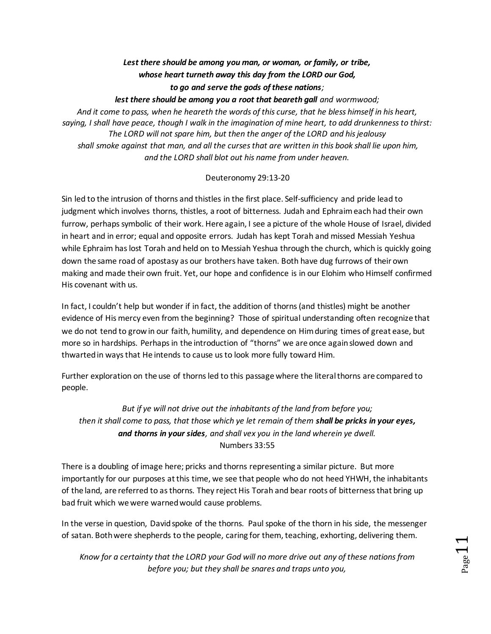# *Lest there should be among you man, or woman, or family, or tribe, whose heart turneth away this day from the LORD our God,*

## *to go and serve the gods of these nations;*

*lest there should be among you a root that beareth gall and wormwood;*

*And it come to pass, when he heareth the words of this curse, that he bless himself in his heart, saying, I shall have peace, though I walk in the imagination of mine heart, to add drunkenness to thirst: The LORD will not spare him, but then the anger of the LORD and his jealousy shall smoke against that man, and all the curses that are written in this book shall lie upon him, and the LORD shall blot out his name from under heaven.*

### Deuteronomy 29:13-20

Sin led to the intrusion of thorns and thistles in the first place. Self-sufficiency and pride lead to judgment which involves thorns, thistles, a root of bitterness. Judah and Ephraim each had their own furrow, perhaps symbolic of their work. Here again, I see a picture of the whole House of Israel, divided in heart and in error; equal and opposite errors. Judah has kept Torah and missed Messiah Yeshua while Ephraim has lost Torah and held on to Messiah Yeshua through the church, which is quickly going down the same road of apostasy as our brothers have taken. Both have dug furrows of their own making and made their own fruit. Yet, our hope and confidence is in our Elohim who Himself confirmed His covenant with us.

In fact, I couldn't help but wonder if in fact, the addition of thorns (and thistles) might be another evidence of His mercy even from the beginning? Those of spiritual understanding often recognize that we do not tend to grow in our faith, humility, and dependence on Him during times of great ease, but more so in hardships. Perhaps in the introduction of "thorns" we are once again slowed down and thwarted in ways that He intends to cause us to look more fully toward Him.

Further exploration on the use of thorns led to this passage where the literal thorns are compared to people.

*But if ye will not drive out the inhabitants of the land from before you; then it shall come to pass, that those which ye let remain of them shall be pricks in your eyes, and thorns in your sides, and shall vex you in the land wherein ye dwell.* Numbers 33:55

There is a doubling of image here; pricks and thorns representing a similar picture. But more importantly for our purposes at this time, we see that people who do not heed YHWH, the inhabitants of the land, are referred to as thorns. They reject His Torah and bear roots of bitterness that bring up bad fruit which we were warned would cause problems.

In the verse in question, David spoke of the thorns. Paul spoke of the thorn in his side, the messenger of satan. Both were shepherds to the people, caring for them, teaching, exhorting, delivering them.

*Know for a certainty that the LORD your God will no more drive out any of these nations from before you; but they shall be snares and traps unto you,*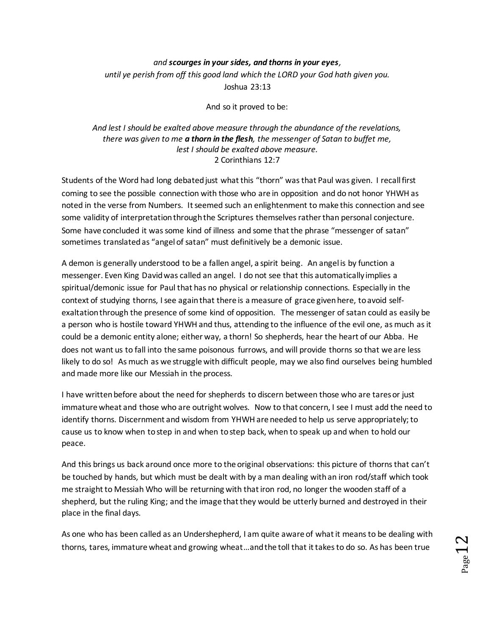### *and scourges in your sides, and thorns in your eyes,*

*until ye perish from off this good land which the LORD your God hath given you.* Joshua 23:13

And so it proved to be:

### *And lest I should be exalted above measure through the abundance of the revelations, there was given to me a thorn in the flesh, the messenger of Satan to buffet me, lest I should be exalted above measure.* 2 Corinthians 12:7

Students of the Word had long debated just what this "thorn" was that Paul was given. I recall first coming to see the possible connection with those who are in opposition and do not honor YHWH as noted in the verse from Numbers. It seemed such an enlightenment to make this connection and see some validity of interpretation through the Scriptures themselves rather than personal conjecture. Some have concluded it was some kind of illness and some that the phrase "messenger of satan" sometimes translated as "angel of satan" must definitively be a demonic issue.

A demon is generally understood to be a fallen angel, a spirit being. An angel is by function a messenger. Even King David was called an angel. I do not see that this automatically implies a spiritual/demonic issue for Paul that has no physical or relationship connections. Especially in the context of studying thorns, I see again that there is a measure of grace given here, to avoid selfexaltation through the presence of some kind of opposition. The messenger of satan could as easily be a person who is hostile toward YHWH and thus, attending to the influence of the evil one, as much as it could be a demonic entity alone; either way, a thorn! So shepherds, hear the heart of our Abba. He does not want us to fall into the same poisonous furrows, and will provide thorns so that we are less likely to do so! As much as we struggle with difficult people, may we also find ourselves being humbled and made more like our Messiah in the process.

I have written before about the need for shepherds to discern between those who are tares or just immature wheat and those who are outright wolves. Now to that concern, I see I must add the need to identify thorns. Discernment and wisdom from YHWH are needed to help us serve appropriately; to cause us to know when to step in and when to step back, when to speak up and when to hold our peace.

And this brings us back around once more to the original observations: this picture of thorns that can't be touched by hands, but which must be dealt with by a man dealing with an iron rod/staff which took me straight to Messiah Who will be returning with that iron rod, no longer the wooden staff of a shepherd, but the ruling King; and the image that they would be utterly burned and destroyed in their place in the final days.

As one who has been called as an Undershepherd, I am quite aware of what it means to be dealing with thorns, tares, immature wheat and growing wheat…and the toll that it takes to do so. As has been true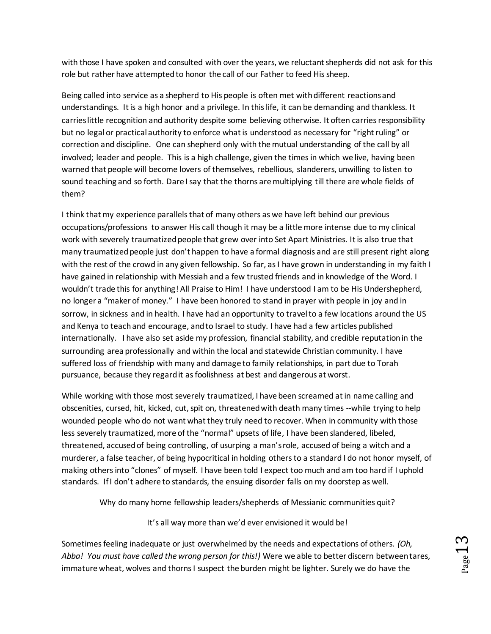with those I have spoken and consulted with over the years, we reluctant shepherds did not ask for this role but rather have attempted to honor the call of our Father to feed His sheep.

Being called into service as a shepherd to His people is often met with different reactions and understandings. It is a high honor and a privilege. In this life, it can be demanding and thankless. It carries little recognition and authority despite some believing otherwise. It often carries responsibility but no legal or practical authority to enforce what is understood as necessary for "right ruling" or correction and discipline. One can shepherd only with the mutual understanding of the call by all involved; leader and people. This is a high challenge, given the times in which we live, having been warned that people will become lovers of themselves, rebellious, slanderers, unwilling to listen to sound teaching and so forth. Dare I say that the thorns are multiplying till there are whole fields of them?

I think that my experience parallels that of many others as we have left behind our previous occupations/professions to answer His call though it may be a little more intense due to my clinical work with severely traumatized people that grew over into Set Apart Ministries. It is also true that many traumatized people just don't happen to have a formal diagnosis and are still present right along with the rest of the crowd in any given fellowship. So far, as I have grown in understanding in my faith I have gained in relationship with Messiah and a few trusted friends and in knowledge of the Word. I wouldn't trade this for anything! All Praise to Him! I have understood I am to be His Undershepherd, no longer a "maker of money." I have been honored to stand in prayer with people in joy and in sorrow, in sickness and in health. I have had an opportunity to travel to a few locations around the US and Kenya to teach and encourage, and to Israel to study. I have had a few articles published internationally. I have also set aside my profession, financial stability, and credible reputation in the surrounding area professionally and within the local and statewide Christian community. I have suffered loss of friendship with many and damage to family relationships, in part due to Torah pursuance, because they regard it as foolishness at best and dangerous at worst.

While working with those most severely traumatized, I have been screamed at in name calling and obscenities, cursed, hit, kicked, cut, spit on, threatened with death many times --while trying to help wounded people who do not want what they truly need to recover. When in community with those less severely traumatized, more of the "normal" upsets of life, I have been slandered, libeled, threatened, accused of being controlling, of usurping a man's role, accused of being a witch and a murderer, a false teacher, of being hypocritical in holding others to a standard I do not honor myself, of making others into "clones" of myself. I have been told I expect too much and am too hard if I uphold standards. If I don't adhere to standards, the ensuing disorder falls on my doorstep as well.

Why do many home fellowship leaders/shepherds of Messianic communities quit?

It's all way more than we'd ever envisioned it would be!

Sometimes feeling inadequate or just overwhelmed by the needs and expectations of others. *(Oh, Abba! You must have called the wrong person for this!)* Were we able to better discern between tares, immature wheat, wolves and thorns I suspect the burden might be lighter. Surely we do have the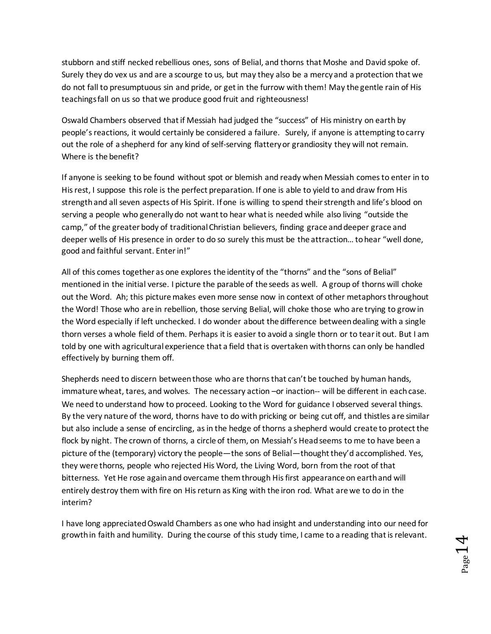stubborn and stiff necked rebellious ones, sons of Belial, and thorns that Moshe and David spoke of. Surely they do vex us and are a scourge to us, but may they also be a mercy and a protection that we do not fall to presumptuous sin and pride, or get in the furrow with them! May the gentle rain of His teachings fall on us so that we produce good fruit and righteousness!

Oswald Chambers observed that if Messiah had judged the "success" of His ministry on earth by people's reactions, it would certainly be considered a failure. Surely, if anyone is attempting to carry out the role of a shepherd for any kind of self-serving flattery or grandiosity they will not remain. Where is the benefit?

If anyone is seeking to be found without spot or blemish and ready when Messiah comes to enter in to His rest, I suppose this role is the perfect preparation. If one is able to yield to and draw from His strength and all seven aspects of His Spirit. If one is willing to spend their strength and life's blood on serving a people who generally do not want to hear what is needed while also living "outside the camp," of the greater body of traditional Christian believers, finding grace and deeper grace and deeper wells of His presence in order to do so surely this must be the attraction… to hear "well done, good and faithful servant. Enter in!"

All of this comes together as one explores the identity of the "thorns" and the "sons of Belial" mentioned in the initial verse. I picture the parable of the seeds as well. A group of thorns will choke out the Word. Ah; this picture makes even more sense now in context of other metaphors throughout the Word! Those who are in rebellion, those serving Belial, will choke those who are trying to grow in the Word especially if left unchecked. I do wonder about the difference between dealing with a single thorn verses a whole field of them. Perhaps it is easier to avoid a single thorn or to tear it out. But I am told by one with agricultural experience that a field that is overtaken with thorns can only be handled effectively by burning them off.

Shepherds need to discern between those who are thorns that can't be touched by human hands, immature wheat, tares, and wolves. The necessary action -or inaction-- will be different in each case. We need to understand how to proceed. Looking to the Word for guidance I observed several things. By the very nature of the word, thorns have to do with pricking or being cut off, and thistles are similar but also include a sense of encircling, as in the hedge of thorns a shepherd would create to protect the flock by night. The crown of thorns, a circle of them, on Messiah's Head seems to me to have been a picture of the (temporary) victory the people—the sons of Belial—thought they'd accomplished. Yes, they were thorns, people who rejected His Word, the Living Word, born from the root of that bitterness. Yet He rose again and overcame them through His first appearance on earth and will entirely destroy them with fire on His return as King with the iron rod. What are we to do in the interim?

I have long appreciated Oswald Chambers as one who had insight and understanding into our need for growth in faith and humility. During the course of this study time, I came to a reading that is relevant.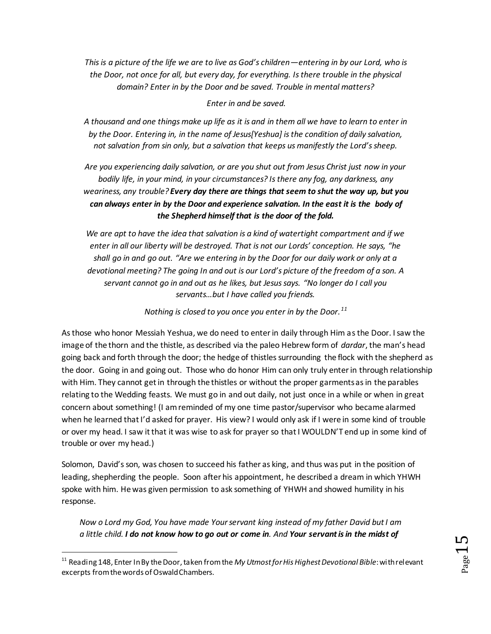*This is a picture of the life we are to live as God's children—entering in by our Lord, who is the Door, not once for all, but every day, for everything. Is there trouble in the physical domain? Enter in by the Door and be saved. Trouble in mental matters?*

### *Enter in and be saved.*

*A thousand and one things make up life as it is and in them all we have to learn to enter in by the Door. Entering in, in the name of Jesus[Yeshua] is the condition of daily salvation, not salvation from sin only, but a salvation that keeps us manifestly the Lord's sheep.*

*Are you experiencing daily salvation, or are you shut out from Jesus Christ just now in your bodily life, in your mind, in your circumstances? Is there any fog, any darkness, any weariness, any trouble? Every day there are things that seem to shut the way up, but you can always enter in by the Door and experience salvation. In the east it is the body of the Shepherd himself that is the door of the fold.*

*We are apt to have the idea that salvation is a kind of watertight compartment and if we enter in all our liberty will be destroyed. That is not our Lords' conception. He says, "he shall go in and go out. "Are we entering in by the Door for our daily work or only at a devotional meeting? The going In and out is our Lord's picture of the freedom of a son. A servant cannot go in and out as he likes, but Jesus says. "No longer do I call you servants…but I have called you friends.*

*Nothing is closed to you once you enter in by the Door.<sup>11</sup>*

As those who honor Messiah Yeshua, we do need to enter in daily through Him as the Door. I saw the image of the thorn and the thistle, as described via the paleo Hebrew form of *dardar*, the man's head going back and forth through the door; the hedge of thistles surrounding the flock with the shepherd as the door. Going in and going out. Those who do honor Him can only truly enter in through relationship with Him. They cannot get in through the thistles or without the proper garments as in the parables relating to the Wedding feasts. We must go in and out daily, not just once in a while or when in great concern about something! (I am reminded of my one time pastor/supervisor who became alarmed when he learned that I'd asked for prayer. His view? I would only ask if I were in some kind of trouble or over my head. I saw it that it was wise to ask for prayer so that I WOULDN'T end up in some kind of trouble or over my head.)

Solomon, David's son, was chosen to succeed his father as king, and thus was put in the position of leading, shepherding the people. Soon after his appointment, he described a dream in which YHWH spoke with him. He was given permission to ask something of YHWH and showed humility in his response.

*Now o Lord my God, You have made Your servant king instead of my father David but I am a little child. I do not know how to go out or come in. And Your servant is in the midst of* 

 $\overline{a}$ 

<sup>11</sup> Reading 148, Enter In By the Door, taken from the *My Utmost for His Highest Devotional Bible*: with relevant excerpts from the words of Oswald Chambers.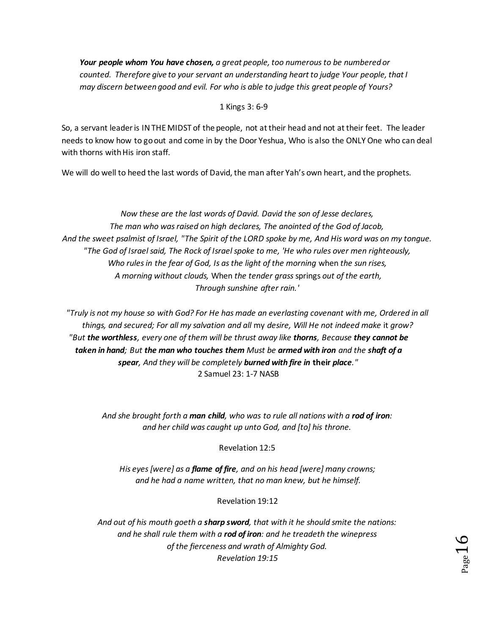*Your people whom You have chosen, a great people, too numerous to be numbered or counted. Therefore give to your servant an understanding heart to judge Your people, that I may discern between good and evil. For who is able to judge this great people of Yours?*

### 1 Kings 3: 6-9

So, a servant leader is IN THE MIDST of the people, not at their head and not at their feet. The leader needs to know how to go out and come in by the Door Yeshua, Who is also the ONLY One who can deal with thorns with His iron staff.

We will do well to heed the last words of David, the man after Yah's own heart, and the prophets.

*Now these are the last words of David. David the son of Jesse declares, The man who was raised on high declares, The anointed of the God of Jacob, And the sweet psalmist of Israel, "The Spirit of the LORD spoke by me, And His word was on my tongue. "The God of Israel said, The Rock of Israel spoke to me, 'He who rules over men righteously, Who rules in the fear of God, Is as the light of the morning* when *the sun rises, A morning without clouds,* When *the tender grass* springs *out of the earth, Through sunshine after rain.'*

*"Truly is not my house so with God? For He has made an everlasting covenant with me, Ordered in all things, and secured; For all my salvation and all* my *desire, Will He not indeed make* it *grow? "But the worthless, every one of them will be thrust away like thorns, Because they cannot be taken in hand; But the man who touches them Must be armed with iron and the shaft of a spear, And they will be completely burned with fire in* **their** *place."* 2 Samuel 23: 1-7 NASB

*And she brought forth a man child, who was to rule all nations with a rod of iron: and her child was caught up unto God, and [to] his throne.* 

Revelation 12:5

*His eyes [were] as a flame of fire, and on his head [were] many crowns; and he had a name written, that no man knew, but he himself.* 

Revelation 19:12

*And out of his mouth goeth a sharp sword, that with it he should smite the nations: and he shall rule them with a rod of iron: and he treadeth the winepress of the fierceness and wrath of Almighty God. Revelation 19:15*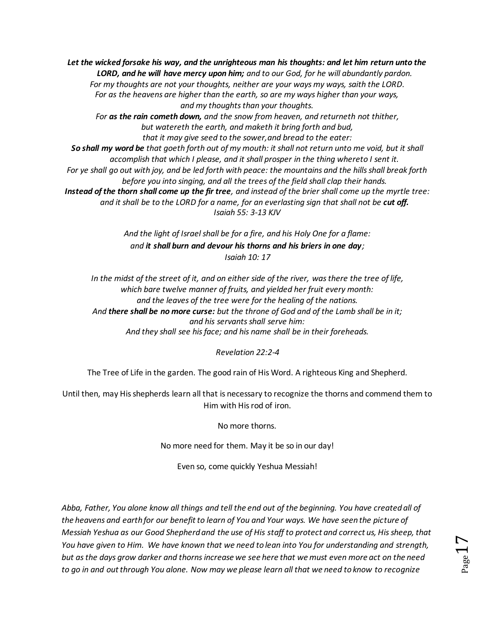*Let the wicked forsake his way, and the unrighteous man his thoughts: and let him return unto the LORD, and he will have mercy upon him; and to our God, for he will abundantly pardon. For my thoughts are not your thoughts, neither are your ways my ways, saith the LORD. For as the heavens are higher than the earth, so are my ways higher than your ways, and my thoughts than your thoughts. For as the rain cometh down, and the snow from heaven, and returneth not thither, but watereth the earth, and maketh it bring forth and bud, that it may give seed to the sower,and bread to the eater: So shall my word be that goeth forth out of my mouth: it shall not return unto me void, but it shall accomplish that which I please, and it shall prosper in the thing whereto I sent it. For ye shall go out with joy, and be led forth with peace: the mountains and the hills shall break forth before you into singing, and all the trees of the field shall clap their hands. Instead of the thorn shall come up the fir tree, and instead of the brier shall come up the myrtle tree: and it shall be to the LORD for a name, for an everlasting sign that shall not be cut off. Isaiah 55: 3-13 KJV*

> *And the light of Israel shall be for a fire, and his Holy One for a flame: and it shall burn and devour his thorns and his briers in one day; Isaiah 10: 17*

*In the midst of the street of it, and on either side of the river, was there the tree of life, which bare twelve manner of fruits, and yielded her fruit every month: and the leaves of the tree were for the healing of the nations. And there shall be no more curse: but the throne of God and of the Lamb shall be in it; and his servants shall serve him: And they shall see his face; and his name shall be in their foreheads.*

*Revelation 22:2-4*

The Tree of Life in the garden. The good rain of His Word. A righteous King and Shepherd.

Until then, may His shepherds learn all that is necessary to recognize the thorns and commend them to Him with His rod of iron.

No more thorns.

No more need for them. May it be so in our day!

Even so, come quickly Yeshua Messiah!

*Abba, Father, You alone know all things and tell the end out of the beginning. You have created all of the heavens and earth for our benefit to learn of You and Your ways. We have seen the picture of Messiah Yeshua as our Good Shepherd and the use of His staff to protect and correct us, His sheep, that You have given to Him. We have known that we need to lean into You for understanding and strength, but as the days grow darker and thorns increase we see here that we must even more act on the need to go in and out through You alone. Now may we please learn all that we need to know to recognize*